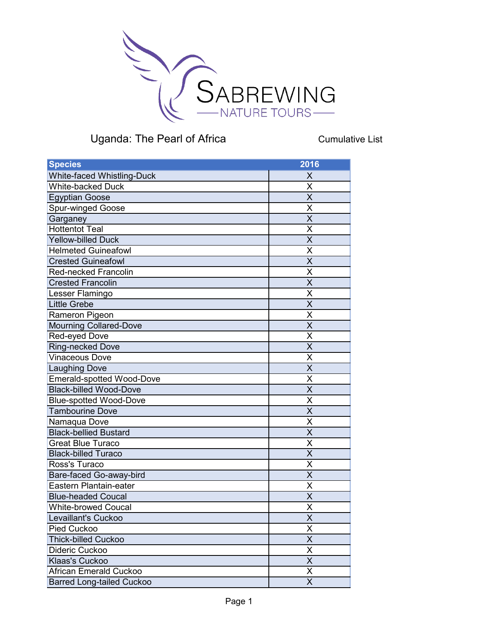

Cumulative List

| <b>Species</b>                    | 2016                    |
|-----------------------------------|-------------------------|
| <b>White-faced Whistling-Duck</b> | X                       |
| <b>White-backed Duck</b>          | X                       |
| <b>Egyptian Goose</b>             | $\overline{\sf x}$      |
| <b>Spur-winged Goose</b>          | X                       |
| Garganey                          | $\overline{\mathsf{x}}$ |
| <b>Hottentot Teal</b>             | X                       |
| <b>Yellow-billed Duck</b>         | $\overline{\mathsf{x}}$ |
| <b>Helmeted Guineafowl</b>        | X                       |
| <b>Crested Guineafowl</b>         | X                       |
| <b>Red-necked Francolin</b>       | X                       |
| <b>Crested Francolin</b>          | $\overline{\mathsf{x}}$ |
| Lesser Flamingo                   | Χ                       |
| <b>Little Grebe</b>               | $\overline{\mathsf{x}}$ |
| Rameron Pigeon                    | X                       |
| <b>Mourning Collared-Dove</b>     | $\overline{\mathsf{x}}$ |
| Red-eyed Dove                     | X                       |
| <b>Ring-necked Dove</b>           | $\overline{\mathsf{x}}$ |
| <b>Vinaceous Dove</b>             | Χ                       |
| <b>Laughing Dove</b>              | $\overline{\mathsf{x}}$ |
| <b>Emerald-spotted Wood-Dove</b>  | X                       |
| <b>Black-billed Wood-Dove</b>     | $\overline{\sf x}$      |
| <b>Blue-spotted Wood-Dove</b>     | X                       |
| <b>Tambourine Dove</b>            | $\overline{\mathsf{x}}$ |
| Namaqua Dove                      | X                       |
| <b>Black-bellied Bustard</b>      | X                       |
| <b>Great Blue Turaco</b>          | X                       |
| <b>Black-billed Turaco</b>        | $\overline{\sf x}$      |
| Ross's Turaco                     | Χ                       |
| Bare-faced Go-away-bird           | X                       |
| Eastern Plantain-eater            | X                       |
| <b>Blue-headed Coucal</b>         | X                       |
| <b>White-browed Coucal</b>        | $\overline{\mathsf{X}}$ |
| Levaillant's Cuckoo               | $\overline{\mathsf{x}}$ |
| Pied Cuckoo                       | Χ                       |
| <b>Thick-billed Cuckoo</b>        | $\overline{\mathsf{x}}$ |
| Dideric Cuckoo                    | X                       |
| Klaas's Cuckoo                    | X                       |
| <b>African Emerald Cuckoo</b>     | X                       |
| <b>Barred Long-tailed Cuckoo</b>  | X                       |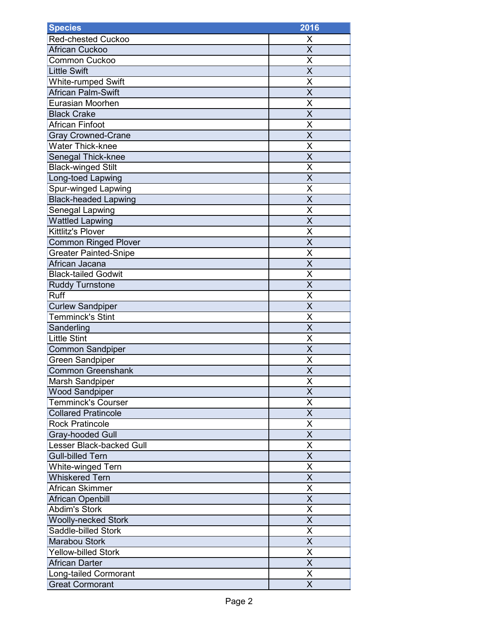| <b>Species</b>                  | 2016                    |
|---------------------------------|-------------------------|
| <b>Red-chested Cuckoo</b>       | X                       |
| <b>African Cuckoo</b>           | $\overline{\mathsf{x}}$ |
| Common Cuckoo                   | X                       |
| <b>Little Swift</b>             | X                       |
| <b>White-rumped Swift</b>       | Χ                       |
| <b>African Palm-Swift</b>       | X                       |
| <b>Eurasian Moorhen</b>         | X                       |
| <b>Black Crake</b>              | X                       |
| African Finfoot                 | X                       |
| <b>Gray Crowned-Crane</b>       | $\overline{\mathsf{x}}$ |
| <b>Water Thick-knee</b>         | X                       |
| Senegal Thick-knee              | X                       |
| <b>Black-winged Stilt</b>       | X                       |
| Long-toed Lapwing               | $\overline{\mathsf{X}}$ |
| Spur-winged Lapwing             | X                       |
| <b>Black-headed Lapwing</b>     | $\overline{\mathsf{x}}$ |
| Senegal Lapwing                 | X                       |
| <b>Wattled Lapwing</b>          | $\overline{\sf x}$      |
| Kittlitz's Plover               | Χ                       |
| <b>Common Ringed Plover</b>     | $\overline{\mathsf{X}}$ |
| <b>Greater Painted-Snipe</b>    | X                       |
| African Jacana                  | $\overline{\mathsf{x}}$ |
| <b>Black-tailed Godwit</b>      | X                       |
| <b>Ruddy Turnstone</b>          | X                       |
| Ruff                            | X                       |
| <b>Curlew Sandpiper</b>         | $\overline{\mathsf{x}}$ |
| <b>Temminck's Stint</b>         | Χ                       |
| Sanderling                      | X                       |
| <b>Little Stint</b>             | Χ                       |
| <b>Common Sandpiper</b>         | X                       |
| <b>Green Sandpiper</b>          | X                       |
| <b>Common Greenshank</b>        | $\overline{\mathsf{x}}$ |
| Marsh Sandpiper                 | X                       |
| <b>Wood Sandpiper</b>           | $\overline{\mathsf{x}}$ |
| <b>Temminck's Courser</b>       | X                       |
| <b>Collared Pratincole</b>      | X                       |
| <b>Rock Pratincole</b>          | X                       |
| <b>Gray-hooded Gull</b>         | X                       |
| <b>Lesser Black-backed Gull</b> | $\overline{\mathsf{X}}$ |
| <b>Gull-billed Tern</b>         | Χ                       |
| White-winged Tern               | X                       |
| <b>Whiskered Tern</b>           | X                       |
| African Skimmer                 | X                       |
| African Openbill                | X                       |
| <b>Abdim's Stork</b>            | Χ                       |
| <b>Woolly-necked Stork</b>      | X                       |
| Saddle-billed Stork             | $\overline{\mathsf{X}}$ |
| <b>Marabou Stork</b>            | X                       |
| <b>Yellow-billed Stork</b>      | $\overline{\mathsf{X}}$ |
| African Darter                  | $\overline{\mathsf{x}}$ |
| <b>Long-tailed Cormorant</b>    | X                       |
| <b>Great Cormorant</b>          | $\sf X$                 |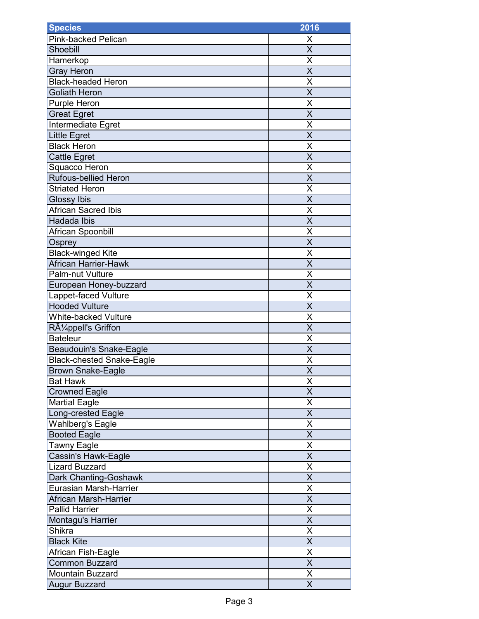| <b>Species</b>                   | 2016                    |
|----------------------------------|-------------------------|
| <b>Pink-backed Pelican</b>       | X                       |
| Shoebill                         | X                       |
| Hamerkop                         | X                       |
| <b>Gray Heron</b>                | X                       |
| <b>Black-headed Heron</b>        | X                       |
| <b>Goliath Heron</b>             | X                       |
| <b>Purple Heron</b>              | X                       |
| <b>Great Egret</b>               | $\overline{\mathsf{x}}$ |
| Intermediate Egret               | X                       |
| <b>Little Egret</b>              | $\overline{\mathsf{X}}$ |
| <b>Black Heron</b>               | Χ                       |
| Cattle Egret                     | X                       |
| Squacco Heron                    | X                       |
| <b>Rufous-bellied Heron</b>      | $\overline{\mathsf{x}}$ |
| <b>Striated Heron</b>            | Χ                       |
| Glossy Ibis                      | $\overline{\mathsf{x}}$ |
| <b>African Sacred Ibis</b>       | X                       |
| Hadada Ibis                      | X                       |
| African Spoonbill                | Χ                       |
| Osprey                           | $\overline{\mathsf{x}}$ |
| <b>Black-winged Kite</b>         | X                       |
| African Harrier-Hawk             | X                       |
| Palm-nut Vulture                 | X                       |
| European Honey-buzzard           | $\overline{\mathsf{x}}$ |
| Lappet-faced Vulture             | Χ                       |
| <b>Hooded Vulture</b>            | X                       |
| <b>White-backed Vulture</b>      | Χ                       |
| Rüppell's Griffon                | $\overline{\mathsf{X}}$ |
| <b>Bateleur</b>                  | Χ                       |
| <b>Beaudouin's Snake-Eagle</b>   | $\overline{\mathsf{x}}$ |
| <b>Black-chested Snake-Eagle</b> | X                       |
| <b>Brown Snake-Eagle</b>         | $\overline{\mathsf{x}}$ |
| <b>Bat Hawk</b>                  | Χ                       |
| <b>Crowned Eagle</b>             | $\overline{\mathsf{X}}$ |
| <b>Martial Eagle</b>             | X                       |
| Long-crested Eagle               | X                       |
| <b>Wahlberg's Eagle</b>          | Χ                       |
| <b>Booted Eagle</b>              | X                       |
| <b>Tawny Eagle</b>               | X                       |
| Cassin's Hawk-Eagle              | X                       |
| <b>Lizard Buzzard</b>            | X                       |
| Dark Chanting-Goshawk            | X                       |
| <b>Eurasian Marsh-Harrier</b>    | Χ                       |
| African Marsh-Harrier            | X                       |
| <b>Pallid Harrier</b>            | $\overline{\mathsf{X}}$ |
| Montagu's Harrier                | $\overline{\mathsf{X}}$ |
| <b>Shikra</b>                    | Χ                       |
| <b>Black Kite</b>                | $\overline{\mathsf{x}}$ |
| African Fish-Eagle               | $\overline{\mathsf{X}}$ |
| <b>Common Buzzard</b>            | X                       |
| <b>Mountain Buzzard</b>          | X                       |
| <b>Augur Buzzard</b>             | X                       |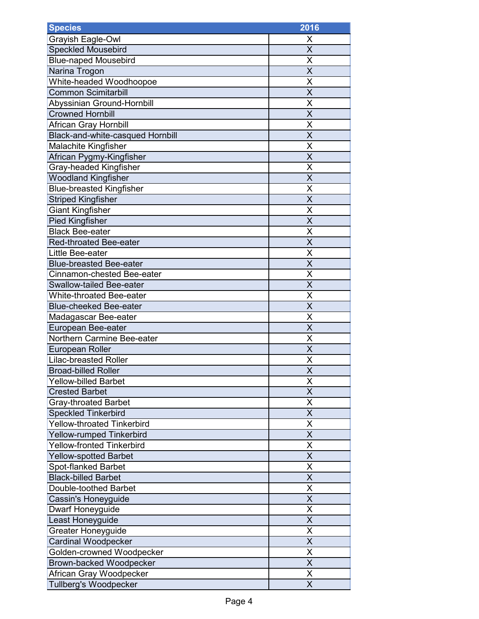| <b>Species</b>                    | 2016                    |
|-----------------------------------|-------------------------|
| Grayish Eagle-Owl                 | X                       |
| <b>Speckled Mousebird</b>         | X                       |
| <b>Blue-naped Mousebird</b>       | X                       |
| Narina Trogon                     | $\overline{\mathsf{x}}$ |
| White-headed Woodhoopoe           | X                       |
| <b>Common Scimitarbill</b>        | X                       |
| Abyssinian Ground-Hornbill        | X                       |
| <b>Crowned Hornbill</b>           | $\overline{\mathsf{X}}$ |
| African Gray Hornbill             | X                       |
| Black-and-white-casqued Hornbill  | X                       |
| <b>Malachite Kingfisher</b>       | X                       |
| African Pygmy-Kingfisher          | X                       |
| Gray-headed Kingfisher            | X                       |
| <b>Woodland Kingfisher</b>        | $\overline{\sf x}$      |
| <b>Blue-breasted Kingfisher</b>   | Χ                       |
| <b>Striped Kingfisher</b>         | $\overline{\mathsf{x}}$ |
| <b>Giant Kingfisher</b>           | X                       |
| <b>Pied Kingfisher</b>            | X                       |
| <b>Black Bee-eater</b>            | X                       |
| <b>Red-throated Bee-eater</b>     | $\overline{\mathsf{x}}$ |
| Little Bee-eater                  | X                       |
| <b>Blue-breasted Bee-eater</b>    | X                       |
| Cinnamon-chested Bee-eater        | X                       |
| <b>Swallow-tailed Bee-eater</b>   | X                       |
| <b>White-throated Bee-eater</b>   | X                       |
| <b>Blue-cheeked Bee-eater</b>     | X                       |
| Madagascar Bee-eater              | X                       |
| European Bee-eater                | $\overline{\mathsf{X}}$ |
| Northern Carmine Bee-eater        | Χ                       |
| <b>European Roller</b>            | $\overline{\mathsf{x}}$ |
| <b>Lilac-breasted Roller</b>      | X                       |
| <b>Broad-billed Roller</b>        | $\overline{\mathsf{x}}$ |
| <b>Yellow-billed Barbet</b>       | Χ                       |
| <b>Crested Barbet</b>             | $\overline{\mathsf{X}}$ |
| <b>Gray-throated Barbet</b>       | X                       |
| <b>Speckled Tinkerbird</b>        | $\overline{\mathsf{x}}$ |
| <b>Yellow-throated Tinkerbird</b> | X                       |
| Yellow-rumped Tinkerbird          | X                       |
| <b>Yellow-fronted Tinkerbird</b>  | X                       |
| <b>Yellow-spotted Barbet</b>      | X                       |
| Spot-flanked Barbet               | X                       |
| <b>Black-billed Barbet</b>        | X                       |
| Double-toothed Barbet             | X                       |
| Cassin's Honeyguide               | X                       |
| Dwarf Honeyguide                  | $\overline{\mathsf{x}}$ |
| Least Honeyguide                  | $\overline{\mathsf{x}}$ |
| Greater Honeyguide                | X                       |
| Cardinal Woodpecker               | $\overline{\mathsf{x}}$ |
| Golden-crowned Woodpecker         | $\overline{\mathsf{x}}$ |
| Brown-backed Woodpecker           | X                       |
| African Gray Woodpecker           | Χ                       |
| Tullberg's Woodpecker             | X                       |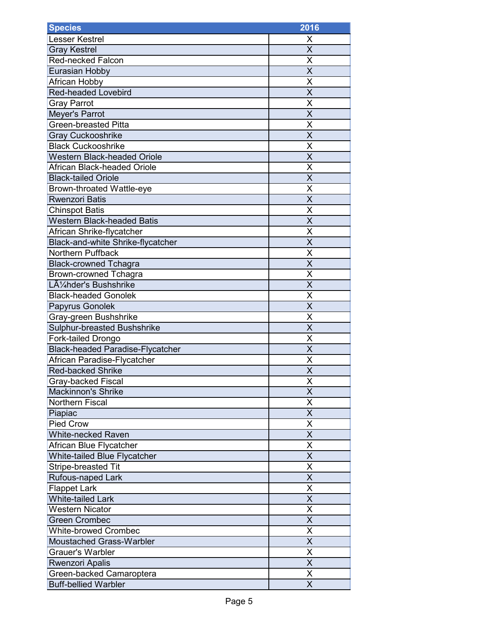| <b>Species</b>                          | 2016                    |
|-----------------------------------------|-------------------------|
| <b>Lesser Kestrel</b>                   | Х                       |
| <b>Gray Kestrel</b>                     | $\overline{\mathsf{x}}$ |
| <b>Red-necked Falcon</b>                | Χ                       |
| <b>Eurasian Hobby</b>                   | X                       |
| African Hobby                           | X                       |
| <b>Red-headed Lovebird</b>              | X                       |
| <b>Gray Parrot</b>                      | X                       |
| Meyer's Parrot                          | X                       |
| <b>Green-breasted Pitta</b>             | Χ                       |
| <b>Gray Cuckooshrike</b>                | $\overline{\mathsf{x}}$ |
| <b>Black Cuckooshrike</b>               | Χ                       |
| <b>Western Black-headed Oriole</b>      | X                       |
| <b>African Black-headed Oriole</b>      | Χ                       |
| <b>Black-tailed Oriole</b>              | $\overline{\mathsf{x}}$ |
| <b>Brown-throated Wattle-eye</b>        | Χ                       |
| <b>Rwenzori Batis</b>                   | $\overline{\mathsf{x}}$ |
| <b>Chinspot Batis</b>                   | X                       |
| <b>Western Black-headed Batis</b>       | $\overline{\mathsf{x}}$ |
| African Shrike-flycatcher               | Χ                       |
| Black-and-white Shrike-flycatcher       | X                       |
| Northern Puffback                       | X                       |
| <b>Black-crowned Tchagra</b>            | X                       |
| <b>Brown-crowned Tchagra</b>            | X                       |
| Lühder's Bushshrike                     | X                       |
| <b>Black-headed Gonolek</b>             | X                       |
| Papyrus Gonolek                         | X                       |
| Gray-green Bushshrike                   | Χ                       |
| Sulphur-breasted Bushshrike             | X                       |
| Fork-tailed Drongo                      | Χ                       |
| <b>Black-headed Paradise-Flycatcher</b> | $\overline{\mathsf{x}}$ |
| African Paradise-Flycatcher             | Χ                       |
| <b>Red-backed Shrike</b>                | $\overline{\mathsf{x}}$ |
| Gray-backed Fiscal                      | Χ                       |
| <b>Mackinnon's Shrike</b>               | $\overline{\mathsf{x}}$ |
| <b>Northern Fiscal</b>                  | Χ                       |
| Piapiac                                 | X                       |
| <b>Pied Crow</b>                        | Χ                       |
| <b>White-necked Raven</b>               | X                       |
| African Blue Flycatcher                 | $\overline{\mathsf{x}}$ |
| White-tailed Blue Flycatcher            | X                       |
| <b>Stripe-breasted Tit</b>              | Χ                       |
| Rufous-naped Lark                       | X                       |
| <b>Flappet Lark</b>                     | X                       |
| <b>White-tailed Lark</b>                | Χ                       |
| <b>Western Nicator</b>                  | X                       |
| <b>Green Crombec</b>                    | X                       |
| <b>White-browed Crombec</b>             | $\overline{\mathsf{x}}$ |
| <b>Moustached Grass-Warbler</b>         | X                       |
| <b>Grauer's Warbler</b>                 | $\overline{\mathsf{x}}$ |
| <b>Rwenzori Apalis</b>                  | $\overline{\mathsf{x}}$ |
| Green-backed Camaroptera                | Χ                       |
| <b>Buff-bellied Warbler</b>             | X                       |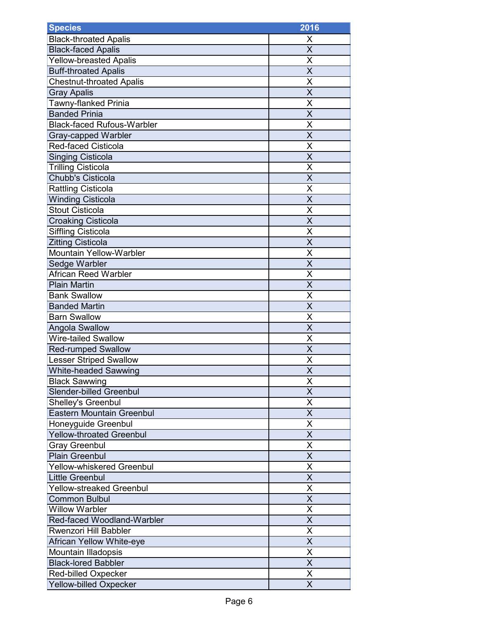| <b>Species</b>                    | 2016                    |
|-----------------------------------|-------------------------|
| <b>Black-throated Apalis</b>      | X                       |
| <b>Black-faced Apalis</b>         | X                       |
| <b>Yellow-breasted Apalis</b>     | Χ                       |
| <b>Buff-throated Apalis</b>       | $\overline{\mathsf{x}}$ |
| <b>Chestnut-throated Apalis</b>   | Χ                       |
| <b>Gray Apalis</b>                | $\overline{\mathsf{x}}$ |
| Tawny-flanked Prinia              | X                       |
| <b>Banded Prinia</b>              | X                       |
| <b>Black-faced Rufous-Warbler</b> | X                       |
| <b>Gray-capped Warbler</b>        | X                       |
| Red-faced Cisticola               | X                       |
| <b>Singing Cisticola</b>          | X                       |
| <b>Trilling Cisticola</b>         | Χ                       |
| <b>Chubb's Cisticola</b>          | X                       |
| <b>Rattling Cisticola</b>         | Χ                       |
| <b>Winding Cisticola</b>          | $\overline{\mathsf{X}}$ |
| <b>Stout Cisticola</b>            | X                       |
| <b>Croaking Cisticola</b>         | $\overline{\mathsf{x}}$ |
| <b>Siffling Cisticola</b>         | Χ                       |
| <b>Zitting Cisticola</b>          | $\overline{\mathsf{x}}$ |
| Mountain Yellow-Warbler           | Χ                       |
| Sedge Warbler                     | X                       |
| <b>African Reed Warbler</b>       | X                       |
| <b>Plain Martin</b>               | X                       |
| <b>Bank Swallow</b>               | X                       |
| <b>Banded Martin</b>              | X                       |
| <b>Barn Swallow</b>               | Χ                       |
| Angola Swallow                    | X                       |
| <b>Wire-tailed Swallow</b>        | Χ                       |
| <b>Red-rumped Swallow</b>         | X                       |
| <b>Lesser Striped Swallow</b>     | Χ                       |
| <b>White-headed Sawwing</b>       | $\overline{\mathsf{X}}$ |
| <b>Black Sawwing</b>              | Χ                       |
| <b>Slender-billed Greenbul</b>    | $\overline{\mathsf{x}}$ |
| Shelley's Greenbul                | Χ                       |
| <b>Eastern Mountain Greenbul</b>  | $\overline{\mathsf{x}}$ |
| Honeyguide Greenbul               | Χ                       |
| <b>Yellow-throated Greenbul</b>   | X                       |
| <b>Gray Greenbul</b>              | X                       |
| <b>Plain Greenbul</b>             | X                       |
| <b>Yellow-whiskered Greenbul</b>  | $\overline{\mathsf{x}}$ |
| <b>Little Greenbul</b>            | X                       |
| <b>Yellow-streaked Greenbul</b>   | X                       |
| <b>Common Bulbul</b>              | Χ                       |
| <b>Willow Warbler</b>             | Χ                       |
| Red-faced Woodland-Warbler        | X                       |
| <b>Rwenzori Hill Babbler</b>      | Χ                       |
| African Yellow White-eye          | X                       |
| Mountain Illadopsis               | $\overline{\sf x}$      |
| <b>Black-lored Babbler</b>        | $\overline{\mathsf{X}}$ |
| <b>Red-billed Oxpecker</b>        | Χ                       |
| <b>Yellow-billed Oxpecker</b>     | $\overline{\mathsf{x}}$ |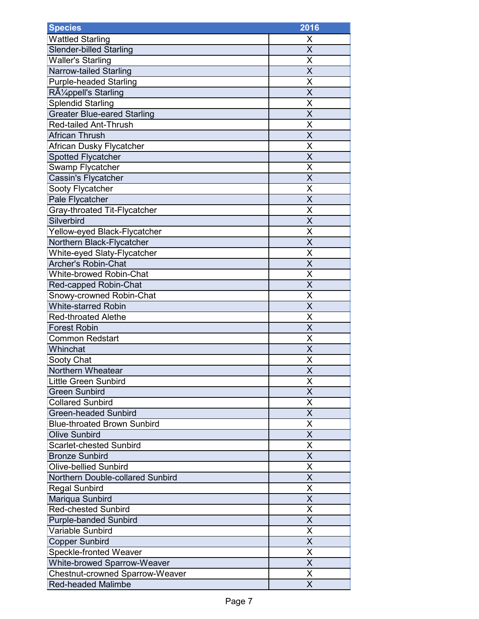| <b>Species</b>                         | 2016                    |
|----------------------------------------|-------------------------|
| <b>Wattled Starling</b>                | Х                       |
| <b>Slender-billed Starling</b>         | $\overline{\mathsf{x}}$ |
| <b>Waller's Starling</b>               | Χ                       |
| Narrow-tailed Starling                 | X                       |
| <b>Purple-headed Starling</b>          | Χ                       |
| Rüppell's Starling                     | X                       |
| <b>Splendid Starling</b>               | X                       |
| <b>Greater Blue-eared Starling</b>     | X                       |
| <b>Red-tailed Ant-Thrush</b>           | Χ                       |
| <b>African Thrush</b>                  | $\overline{\mathsf{x}}$ |
| African Dusky Flycatcher               | Χ                       |
| <b>Spotted Flycatcher</b>              | X                       |
| Swamp Flycatcher                       | Χ                       |
| Cassin's Flycatcher                    | $\overline{\mathsf{x}}$ |
| Sooty Flycatcher                       | Χ                       |
| Pale Flycatcher                        | $\overline{\mathsf{x}}$ |
| Gray-throated Tit-Flycatcher           | X                       |
| Silverbird                             | $\overline{\mathsf{x}}$ |
| Yellow-eyed Black-Flycatcher           | Χ                       |
| Northern Black-Flycatcher              | X                       |
| White-eyed Slaty-Flycatcher            | X                       |
| Archer's Robin-Chat                    | X                       |
| <b>White-browed Robin-Chat</b>         | X                       |
| Red-capped Robin-Chat                  | X                       |
| Snowy-crowned Robin-Chat               | X                       |
| <b>White-starred Robin</b>             | X                       |
| <b>Red-throated Alethe</b>             | Χ                       |
| <b>Forest Robin</b>                    | X                       |
| <b>Common Redstart</b>                 | Χ                       |
| Whinchat                               | X                       |
| Sooty Chat                             | Χ                       |
| Northern Wheatear                      | $\overline{\mathsf{x}}$ |
| <b>Little Green Sunbird</b>            | Χ                       |
| <b>Green Sunbird</b>                   | $\overline{\mathsf{x}}$ |
| <b>Collared Sunbird</b>                | Χ                       |
| <b>Green-headed Sunbird</b>            | X                       |
| <b>Blue-throated Brown Sunbird</b>     | X                       |
| <b>Olive Sunbird</b>                   | X                       |
| <b>Scarlet-chested Sunbird</b>         | $\overline{\mathsf{x}}$ |
| <b>Bronze Sunbird</b>                  | X                       |
| <b>Olive-bellied Sunbird</b>           | Χ                       |
| Northern Double-collared Sunbird       | X                       |
| <b>Regal Sunbird</b>                   | X                       |
| Mariqua Sunbird                        | X                       |
| <b>Red-chested Sunbird</b>             | X                       |
| <b>Purple-banded Sunbird</b>           | X                       |
| Variable Sunbird                       | $\overline{\mathsf{x}}$ |
| <b>Copper Sunbird</b>                  | X                       |
| <b>Speckle-fronted Weaver</b>          | X                       |
| <b>White-browed Sparrow-Weaver</b>     | $\overline{\mathsf{x}}$ |
| <b>Chestnut-crowned Sparrow-Weaver</b> | Χ                       |
| <b>Red-headed Malimbe</b>              | X                       |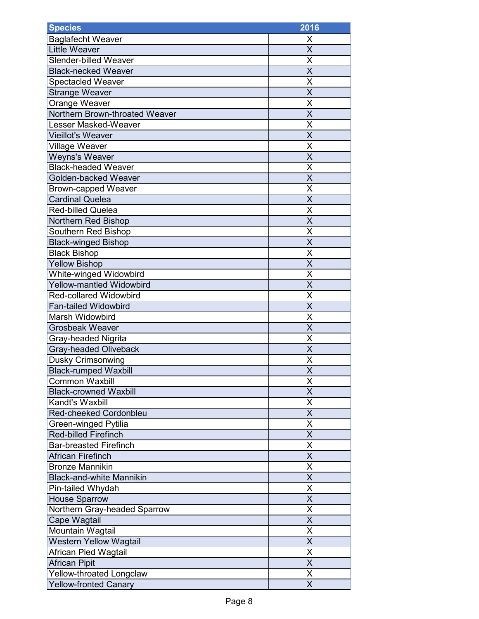| <b>Species</b>                  | 2016                    |
|---------------------------------|-------------------------|
| <b>Baglafecht Weaver</b>        | X                       |
| <b>Little Weaver</b>            | X                       |
| <b>Slender-billed Weaver</b>    | X                       |
| <b>Black-necked Weaver</b>      | $\overline{\mathsf{x}}$ |
| <b>Spectacled Weaver</b>        | X                       |
| <b>Strange Weaver</b>           | X                       |
| Orange Weaver                   | X                       |
| Northern Brown-throated Weaver  | $\overline{\mathsf{X}}$ |
| <b>Lesser Masked-Weaver</b>     | X                       |
| <b>Vieillot's Weaver</b>        | X                       |
| Village Weaver                  | Χ                       |
| <b>Weyns's Weaver</b>           | X                       |
| <b>Black-headed Weaver</b>      | X                       |
| Golden-backed Weaver            | $\overline{\mathsf{x}}$ |
| <b>Brown-capped Weaver</b>      | Χ                       |
| Cardinal Quelea                 | $\overline{\mathsf{x}}$ |
| <b>Red-billed Quelea</b>        | X                       |
| <b>Northern Red Bishop</b>      | X                       |
| <b>Southern Red Bishop</b>      | X                       |
| <b>Black-winged Bishop</b>      | X                       |
| <b>Black Bishop</b>             | X                       |
| <b>Yellow Bishop</b>            | X                       |
| White-winged Widowbird          | X                       |
| <b>Yellow-mantled Widowbird</b> | X                       |
| <b>Red-collared Widowbird</b>   | X                       |
| <b>Fan-tailed Widowbird</b>     | X                       |
| Marsh Widowbird                 | X                       |
| <b>Grosbeak Weaver</b>          | $\overline{\mathsf{X}}$ |
| Gray-headed Nigrita             | Χ                       |
| <b>Gray-headed Oliveback</b>    | $\overline{\mathsf{x}}$ |
| <b>Dusky Crimsonwing</b>        | X                       |
| <b>Black-rumped Waxbill</b>     | $\overline{\mathsf{X}}$ |
| <b>Common Waxbill</b>           | Χ                       |
| <b>Black-crowned Waxbill</b>    | X                       |
| Kandt's Waxbill                 | X                       |
| <b>Red-cheeked Cordonbleu</b>   | $\overline{\mathsf{x}}$ |
| Green-winged Pytilia            | X                       |
| <b>Red-billed Firefinch</b>     | X                       |
| <b>Bar-breasted Firefinch</b>   | X                       |
| African Firefinch               | X                       |
| <b>Bronze Mannikin</b>          | X                       |
| <b>Black-and-white Mannikin</b> | X                       |
| Pin-tailed Whydah               | X                       |
| <b>House Sparrow</b>            | X                       |
| Northern Gray-headed Sparrow    | $\overline{\mathsf{x}}$ |
| Cape Wagtail                    | $\overline{\mathsf{X}}$ |
| Mountain Wagtail                | Χ                       |
| <b>Western Yellow Wagtail</b>   | $\overline{\mathsf{x}}$ |
| African Pied Wagtail            | $\overline{\mathsf{X}}$ |
| <b>African Pipit</b>            | X                       |
| Yellow-throated Longclaw        | X                       |
| <b>Yellow-fronted Canary</b>    | X                       |